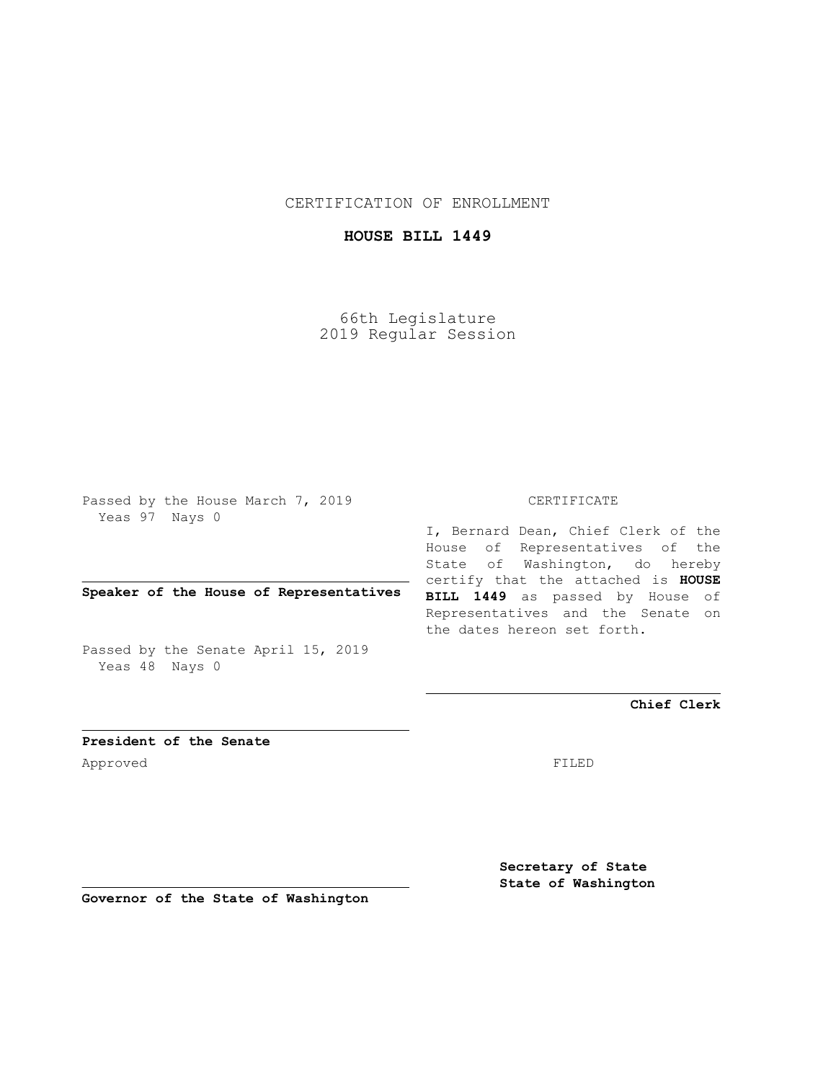CERTIFICATION OF ENROLLMENT

## **HOUSE BILL 1449**

66th Legislature 2019 Regular Session

Passed by the House March 7, 2019 Yeas 97 Nays 0

**Speaker of the House of Representatives**

Passed by the Senate April 15, 2019 Yeas 48 Nays 0

## CERTIFICATE

I, Bernard Dean, Chief Clerk of the House of Representatives of the State of Washington, do hereby certify that the attached is **HOUSE BILL 1449** as passed by House of Representatives and the Senate on the dates hereon set forth.

**Chief Clerk**

**President of the Senate** Approved FILED

**Secretary of State State of Washington**

**Governor of the State of Washington**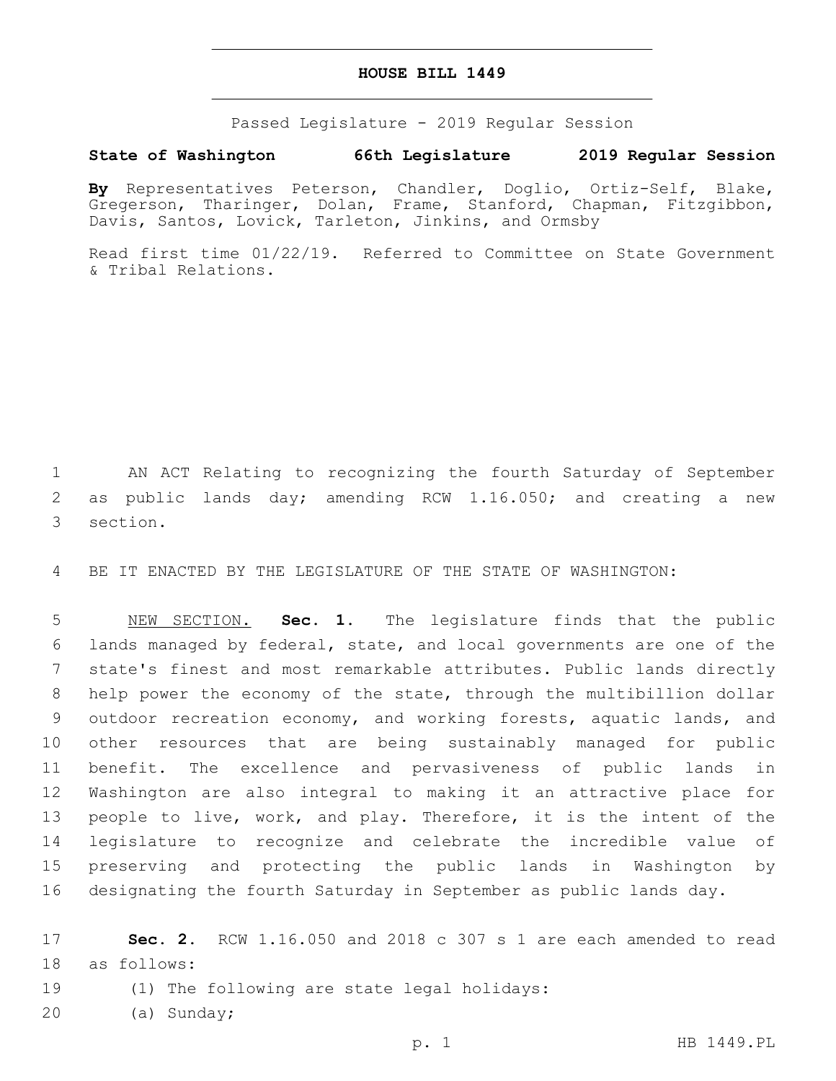## **HOUSE BILL 1449**

Passed Legislature - 2019 Regular Session

## **State of Washington 66th Legislature 2019 Regular Session**

**By** Representatives Peterson, Chandler, Doglio, Ortiz-Self, Blake, Gregerson, Tharinger, Dolan, Frame, Stanford, Chapman, Fitzgibbon, Davis, Santos, Lovick, Tarleton, Jinkins, and Ormsby

Read first time 01/22/19. Referred to Committee on State Government & Tribal Relations.

1 AN ACT Relating to recognizing the fourth Saturday of September 2 as public lands day; amending RCW 1.16.050; and creating a new 3 section.

4 BE IT ENACTED BY THE LEGISLATURE OF THE STATE OF WASHINGTON:

 NEW SECTION. **Sec. 1.** The legislature finds that the public lands managed by federal, state, and local governments are one of the state's finest and most remarkable attributes. Public lands directly help power the economy of the state, through the multibillion dollar outdoor recreation economy, and working forests, aquatic lands, and other resources that are being sustainably managed for public benefit. The excellence and pervasiveness of public lands in Washington are also integral to making it an attractive place for people to live, work, and play. Therefore, it is the intent of the legislature to recognize and celebrate the incredible value of preserving and protecting the public lands in Washington by designating the fourth Saturday in September as public lands day.

17 **Sec. 2.** RCW 1.16.050 and 2018 c 307 s 1 are each amended to read 18 as follows:

- 19 (1) The following are state legal holidays:
- 20 (a) Sunday;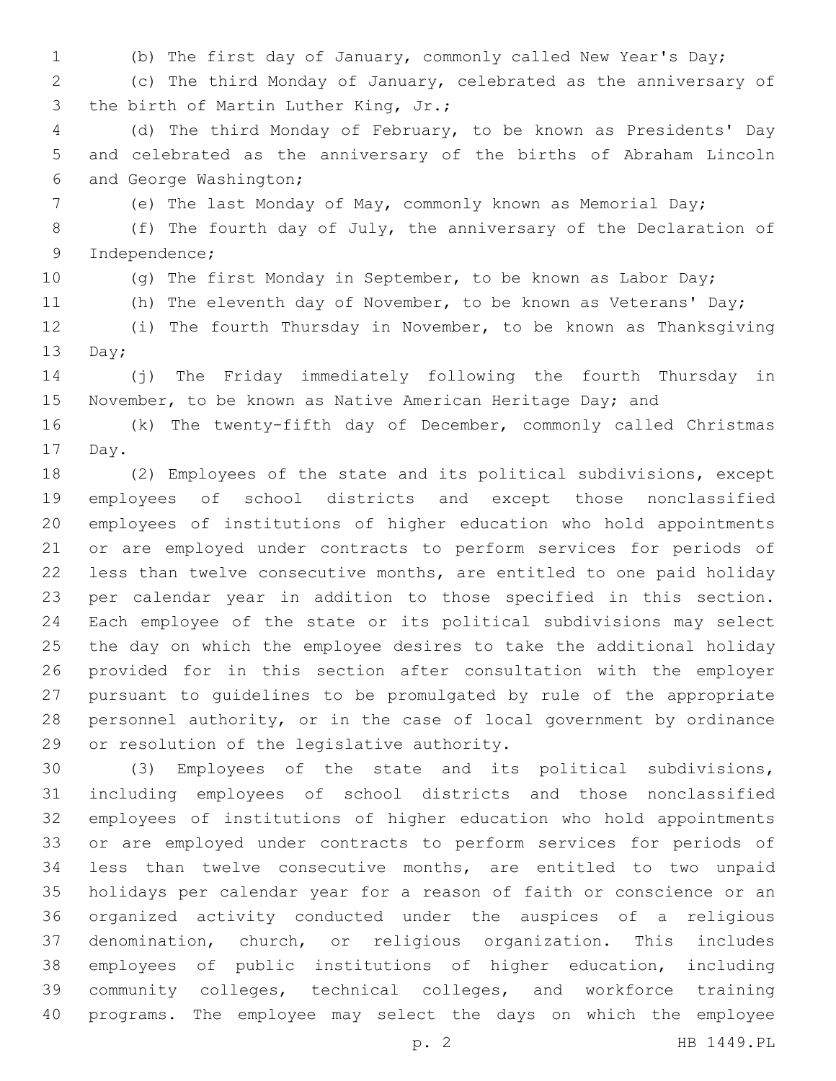(b) The first day of January, commonly called New Year's Day;

 (c) The third Monday of January, celebrated as the anniversary of 3 the birth of Martin Luther King, Jr.;

 (d) The third Monday of February, to be known as Presidents' Day and celebrated as the anniversary of the births of Abraham Lincoln 6 and George Washington;

(e) The last Monday of May, commonly known as Memorial Day;

 (f) The fourth day of July, the anniversary of the Declaration of 9 Independence;

(g) The first Monday in September, to be known as Labor Day;

11 (h) The eleventh day of November, to be known as Veterans' Day;

 (i) The fourth Thursday in November, to be known as Thanksgiving 13 Day;

 (j) The Friday immediately following the fourth Thursday in 15 November, to be known as Native American Heritage Day; and

 (k) The twenty-fifth day of December, commonly called Christmas 17 Day.

 (2) Employees of the state and its political subdivisions, except employees of school districts and except those nonclassified employees of institutions of higher education who hold appointments or are employed under contracts to perform services for periods of less than twelve consecutive months, are entitled to one paid holiday per calendar year in addition to those specified in this section. Each employee of the state or its political subdivisions may select the day on which the employee desires to take the additional holiday provided for in this section after consultation with the employer pursuant to guidelines to be promulgated by rule of the appropriate personnel authority, or in the case of local government by ordinance 29 or resolution of the legislative authority.

 (3) Employees of the state and its political subdivisions, including employees of school districts and those nonclassified employees of institutions of higher education who hold appointments or are employed under contracts to perform services for periods of less than twelve consecutive months, are entitled to two unpaid holidays per calendar year for a reason of faith or conscience or an organized activity conducted under the auspices of a religious denomination, church, or religious organization. This includes employees of public institutions of higher education, including community colleges, technical colleges, and workforce training programs. The employee may select the days on which the employee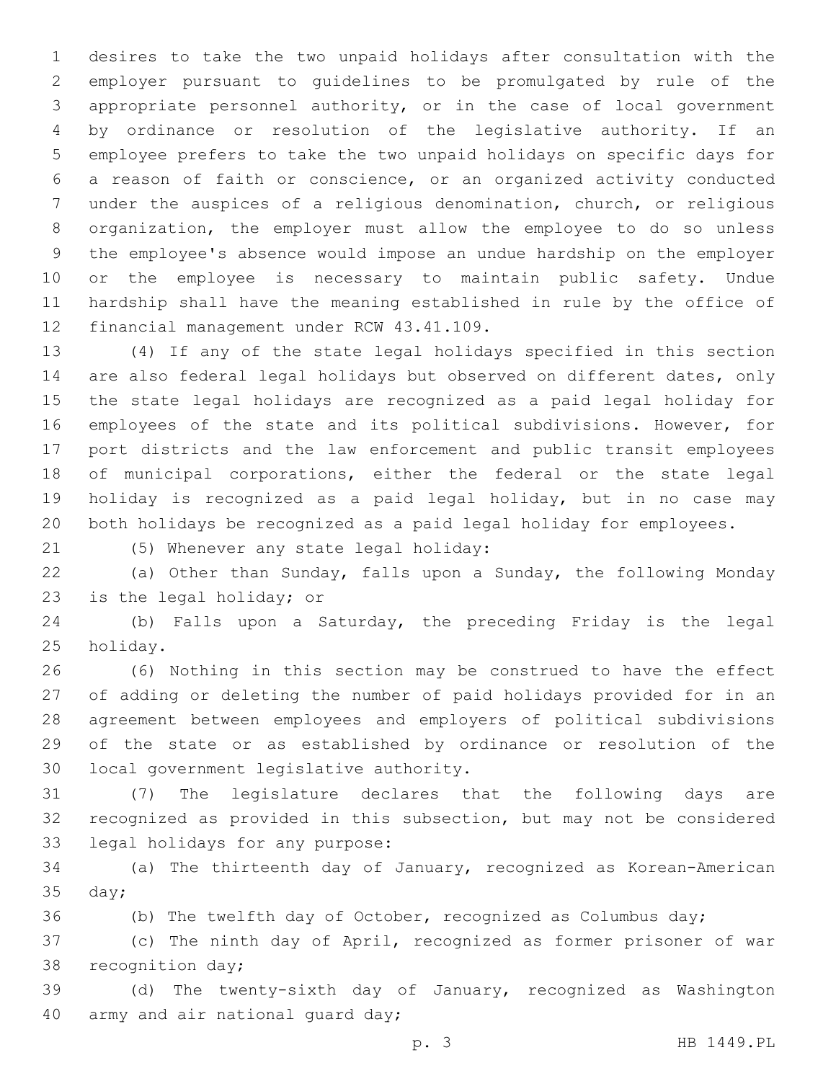desires to take the two unpaid holidays after consultation with the employer pursuant to guidelines to be promulgated by rule of the appropriate personnel authority, or in the case of local government by ordinance or resolution of the legislative authority. If an employee prefers to take the two unpaid holidays on specific days for a reason of faith or conscience, or an organized activity conducted under the auspices of a religious denomination, church, or religious organization, the employer must allow the employee to do so unless the employee's absence would impose an undue hardship on the employer or the employee is necessary to maintain public safety. Undue hardship shall have the meaning established in rule by the office of 12 financial management under RCW 43.41.109.

 (4) If any of the state legal holidays specified in this section are also federal legal holidays but observed on different dates, only the state legal holidays are recognized as a paid legal holiday for employees of the state and its political subdivisions. However, for port districts and the law enforcement and public transit employees of municipal corporations, either the federal or the state legal holiday is recognized as a paid legal holiday, but in no case may both holidays be recognized as a paid legal holiday for employees.

(5) Whenever any state legal holiday:21

 (a) Other than Sunday, falls upon a Sunday, the following Monday 23 is the legal holiday; or

 (b) Falls upon a Saturday, the preceding Friday is the legal 25 holiday.

 (6) Nothing in this section may be construed to have the effect of adding or deleting the number of paid holidays provided for in an agreement between employees and employers of political subdivisions of the state or as established by ordinance or resolution of the 30 local government legislative authority.

 (7) The legislature declares that the following days are recognized as provided in this subsection, but may not be considered 33 legal holidays for any purpose:

 (a) The thirteenth day of January, recognized as Korean-American  $35 \text{ day}$ ;

(b) The twelfth day of October, recognized as Columbus day;

 (c) The ninth day of April, recognized as former prisoner of war 38 recognition day;

 (d) The twenty-sixth day of January, recognized as Washington 40 army and air national quard day;

p. 3 HB 1449.PL